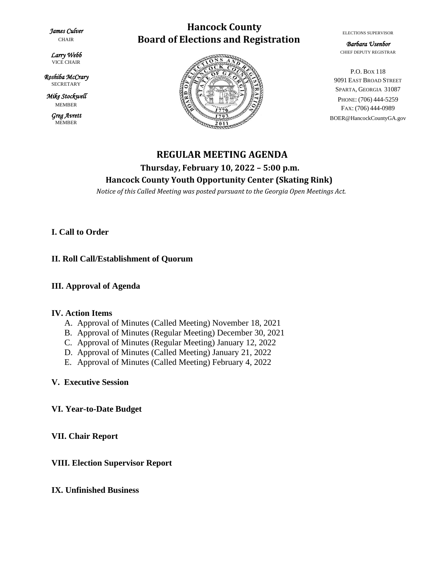*James Culver* 

CHAIR

*Larry Webb*  VICE CHAIR

*Roshiba McCrary*  **SECRETARY** 

*Mike Stockwell*  MEMBER

> *Greg Avrett*  MEMBER

# **Hancock County Board of Elections and Registration**



ELECTIONS SUPERVISOR

*Barbara Usenbor*  CHIEF DEPUTY REGISTRAR

P.O. BOX 118 9091 EAST BROAD STREET SPARTA, GEORGIA 31087 PHONE: (706) 444-5259 FAX: (706) 444-0989 BOER@HancockCountyGA.gov

# **REGULAR MEETING AGENDA Thursday, February 10, 2022 – 5:00 p.m. Hancock County Youth Opportunity Center (Skating Rink)**

 *Notice of this Called Meeting was posted pursuant to the Georgia Open Meetings Act.*

## **I. Call to Order**

## **II. Roll Call/Establishment of Quorum**

#### **III. Approval of Agenda**

#### **IV. Action Items**

- A. Approval of Minutes (Called Meeting) November 18, 2021
- B. Approval of Minutes (Regular Meeting) December 30, 2021
- C. Approval of Minutes (Regular Meeting) January 12, 2022
- D. Approval of Minutes (Called Meeting) January 21, 2022
- E. Approval of Minutes (Called Meeting) February 4, 2022

#### **V. Executive Session**

#### **VI. Year-to-Date Budget**

**VII. Chair Report**

# **VIII. Election Supervisor Report**

#### **IX. Unfinished Business**